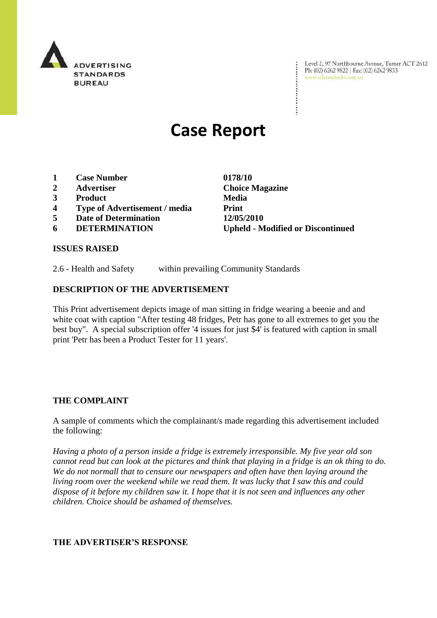

Level 2, 97 Northbourne Avenue, Turner ACT 2612 Level 2, 97 Northbourne Avenue, Turne<br>Ph: (02) 6262 9822 | Fax: (02) 6262 9833 www.adstandards.com.au

# **Case Report**

- **1 Case Number 0178/10**
- **2 Advertiser Choice Magazine**
- **3 Product Media**
- **4 Type of Advertisement / media Print**
- **5 Date of Determination 12/05/2010**
- 

**6 DETERMINATION Upheld - Modified or Discontinued**

 $\ddot{\cdot}$ 

#### **ISSUES RAISED**

2.6 - Health and Safety within prevailing Community Standards

#### **DESCRIPTION OF THE ADVERTISEMENT**

This Print advertisement depicts image of man sitting in fridge wearing a beenie and and white coat with caption "After testing 48 fridges, Petr has gone to all extremes to get you the best buy". A special subscription offer '4 issues for just \$4' is featured with caption in small print 'Petr has been a Product Tester for 11 years'.

#### **THE COMPLAINT**

A sample of comments which the complainant/s made regarding this advertisement included the following:

*Having a photo of a person inside a fridge is extremely irresponsible. My five year old son cannot read but can look at the pictures and think that playing in a fridge is an ok thing to do. We do not normall that to censure our newspapers and often have then laying around the living room over the weekend while we read them. It was lucky that I saw this and could dispose of it before my children saw it. I hope that it is not seen and influences any other children. Choice should be ashamed of themselves.*

### **THE ADVERTISER'S RESPONSE**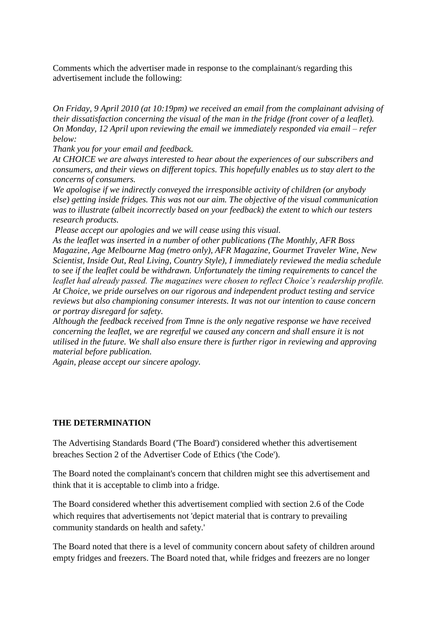Comments which the advertiser made in response to the complainant/s regarding this advertisement include the following:

*On Friday, 9 April 2010 (at 10:19pm) we received an email from the complainant advising of their dissatisfaction concerning the visual of the man in the fridge (front cover of a leaflet). On Monday, 12 April upon reviewing the email we immediately responded via email – refer below:*

*Thank you for your email and feedback.*

*At CHOICE we are always interested to hear about the experiences of our subscribers and consumers, and their views on different topics. This hopefully enables us to stay alert to the concerns of consumers.* 

*We apologise if we indirectly conveyed the irresponsible activity of children (or anybody else) getting inside fridges. This was not our aim. The objective of the visual communication was to illustrate (albeit incorrectly based on your feedback) the extent to which our testers research products.*

*Please accept our apologies and we will cease using this visual.*

*As the leaflet was inserted in a number of other publications (The Monthly, AFR Boss Magazine, Age Melbourne Mag (metro only), AFR Magazine, Gourmet Traveler Wine, New Scientist, Inside Out, Real Living, Country Style), I immediately reviewed the media schedule to see if the leaflet could be withdrawn. Unfortunately the timing requirements to cancel the leaflet had already passed. The magazines were chosen to reflect Choice's readership profile. At Choice, we pride ourselves on our rigorous and independent product testing and service reviews but also championing consumer interests. It was not our intention to cause concern or portray disregard for safety.*

*Although the feedback received from Tmne is the only negative response we have received concerning the leaflet, we are regretful we caused any concern and shall ensure it is not utilised in the future. We shall also ensure there is further rigor in reviewing and approving material before publication.*

*Again, please accept our sincere apology.*

## **THE DETERMINATION**

The Advertising Standards Board ('The Board') considered whether this advertisement breaches Section 2 of the Advertiser Code of Ethics ('the Code').

The Board noted the complainant's concern that children might see this advertisement and think that it is acceptable to climb into a fridge.

The Board considered whether this advertisement complied with section 2.6 of the Code which requires that advertisements not 'depict material that is contrary to prevailing community standards on health and safety.'

The Board noted that there is a level of community concern about safety of children around empty fridges and freezers. The Board noted that, while fridges and freezers are no longer